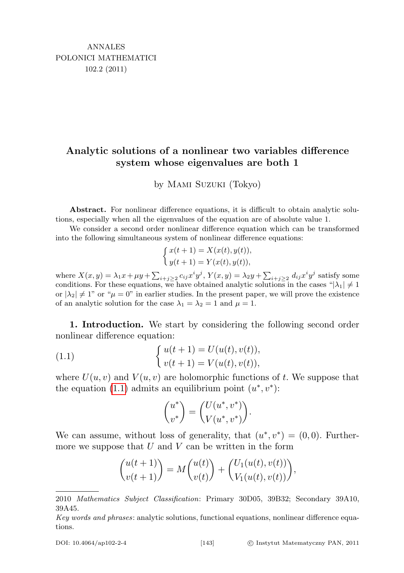## Analytic solutions of a nonlinear two variables difference system whose eigenvalues are both 1

by Mami Suzuki (Tokyo)

Abstract. For nonlinear difference equations, it is difficult to obtain analytic solutions, especially when all the eigenvalues of the equation are of absolute value 1.

We consider a second order nonlinear difference equation which can be transformed into the following simultaneous system of nonlinear difference equations:

$$
\begin{cases} x(t+1) = X(x(t), y(t)), \\ y(t+1) = Y(x(t), y(t)), \end{cases}
$$

where  $X(x,y) = \lambda_1 x + \mu y + \sum_{i+j \geq 2} c_{ij} x^i y^j$ ,  $Y(x,y) = \lambda_2 y + \sum_{i+j \geq 2} d_{ij} x^i y^j$  satisfy some conditions. For these equations, we have obtained analytic solutions in the cases " $|\lambda_1| \neq 1$ or  $|\lambda_2| \neq 1$ " or " $\mu = 0$ " in earlier studies. In the present paper, we will prove the existence of an analytic solution for the case  $\lambda_1 = \lambda_2 = 1$  and  $\mu = 1$ .

1. Introduction. We start by considering the following second order nonlinear difference equation:

(1.1) 
$$
\begin{cases} u(t+1) = U(u(t), v(t)), \\ v(t+1) = V(u(t), v(t)), \end{cases}
$$

where  $U(u, v)$  and  $V(u, v)$  are holomorphic functions of t. We suppose that the equation [\(1.1\)](#page-0-0) admits an equilibrium point  $(u^*, v^*)$ :

<span id="page-0-0"></span>
$$
\begin{pmatrix} u^* \\ v^* \end{pmatrix} = \begin{pmatrix} U(u^*, v^*) \\ V(u^*, v^*) \end{pmatrix}.
$$

We can assume, without loss of generality, that  $(u^*, v^*) = (0, 0)$ . Furthermore we suppose that  $U$  and  $V$  can be written in the form

$$
\binom{u(t+1)}{v(t+1)} = M \binom{u(t)}{v(t)} + \binom{U_1(u(t), v(t))}{V_1(u(t), v(t))},
$$

<sup>2010</sup> Mathematics Subject Classification: Primary 30D05, 39B32; Secondary 39A10, 39A45.

Key words and phrases: analytic solutions, functional equations, nonlinear difference equations.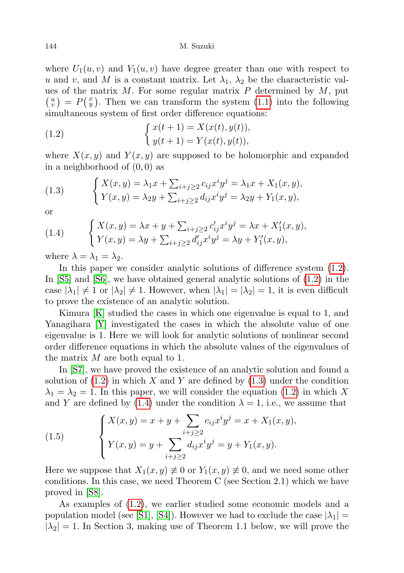where  $U_1(u, v)$  and  $V_1(u, v)$  have degree greater than one with respect to u and v, and M is a constant matrix. Let  $\lambda_1$ ,  $\lambda_2$  be the characteristic values of the matrix  $M$ . For some regular matrix  $P$  determined by  $M$ , put  $\binom{u}{v} = P\binom{x}{y}$ . Then we can transform the system [\(1.1\)](#page-0-0) into the following simultaneous system of first order difference equations:

<span id="page-1-0"></span>(1.2) 
$$
\begin{cases} x(t+1) = X(x(t), y(t)), \\ y(t+1) = Y(x(t), y(t)), \end{cases}
$$

where  $X(x, y)$  and  $Y(x, y)$  are supposed to be holomorphic and expanded in a neighborhood of  $(0, 0)$  as

<span id="page-1-1"></span>(1.3) 
$$
\begin{cases} X(x,y) = \lambda_1 x + \sum_{i+j \geq 2} c_{ij} x^i y^j = \lambda_1 x + X_1(x,y), \\ Y(x,y) = \lambda_2 y + \sum_{i+j \geq 2} d_{ij} x^i y^j = \lambda_2 y + Y_1(x,y), \end{cases}
$$

or

<span id="page-1-2"></span>(1.4) 
$$
\begin{cases} X(x,y) = \lambda x + y + \sum_{i+j \geq 2} c'_{ij} x^i y^j = \lambda x + X'_1(x,y), \\ Y(x,y) = \lambda y + \sum_{i+j \geq 2} d'_{ij} x^i y^j = \lambda y + Y'_1(x,y), \end{cases}
$$

where  $\lambda = \lambda_1 = \lambda_2$ .

In this paper we consider analytic solutions of difference system [\(1.2\)](#page-1-0). In [\[S5\]](#page-16-0) and [\[S6\]](#page-16-1), we have obtained general analytic solutions of [\(1.2\)](#page-1-0) in the case  $|\lambda_1| \neq 1$  or  $|\lambda_2| \neq 1$ . However, when  $|\lambda_1| = |\lambda_2| = 1$ , it is even difficult to prove the existence of an analytic solution.

Kimura [\[K\]](#page-16-2) studied the cases in which one eigenvalue is equal to 1, and Yanagihara [\[Y\]](#page-16-3) investigated the cases in which the absolute value of one eigenvalue is 1. Here we will look for analytic solutions of nonlinear second order difference equations in which the absolute values of the eigenvalues of the matrix  $M$  are both equal to 1.

In [\[S7\]](#page-16-4), we have proved the existence of an analytic solution and found a solution of  $(1.2)$  in which X and Y are defined by  $(1.3)$  under the condition  $\lambda_1 = \lambda_2 = 1$ . In this paper, we will consider the equation [\(1.2\)](#page-1-0) in which X and Y are defined by [\(1.4\)](#page-1-2) under the condition  $\lambda = 1$ , i.e., we assume that

<span id="page-1-3"></span>(1.5) 
$$
\begin{cases} X(x,y) = x + y + \sum_{i+j \ge 2} c_{ij} x^i y^j = x + X_1(x,y), \\ Y(x,y) = y + \sum_{i+j \ge 2} d_{ij} x^i y^j = y + Y_1(x,y). \end{cases}
$$

Here we suppose that  $X_1(x, y) \neq 0$  or  $Y_1(x, y) \neq 0$ , and we need some other conditions. In this case, we need Theorem C (see Section 2.1) which we have proved in [\[S8\]](#page-16-5).

As examples of [\(1.2\)](#page-1-0), we earlier studied some economic models and a population model (see [\[S1\]](#page-16-6), [\[S4\]](#page-16-7)). However we had to exclude the case  $|\lambda_1|$  =  $|\lambda_2| = 1$ . In Section 3, making use of Theorem 1.1 below, we will prove the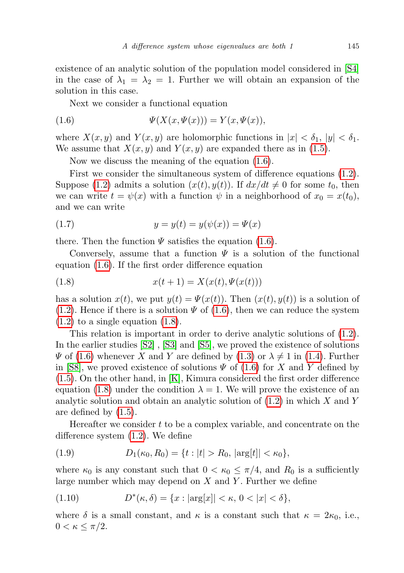existence of an analytic solution of the population model considered in [\[S4\]](#page-16-7) in the case of  $\lambda_1 = \lambda_2 = 1$ . Further we will obtain an expansion of the solution in this case.

<span id="page-2-0"></span>Next we consider a functional equation

(1.6) 
$$
\Psi(X(x, \Psi(x))) = Y(x, \Psi(x)),
$$

where  $X(x, y)$  and  $Y(x, y)$  are holomorphic functions in  $|x| < \delta_1$ ,  $|y| < \delta_1$ . We assume that  $X(x, y)$  and  $Y(x, y)$  are expanded there as in [\(1.5\)](#page-1-3).

Now we discuss the meaning of the equation [\(1.6\)](#page-2-0).

First we consider the simultaneous system of difference equations [\(1.2\)](#page-1-0). Suppose [\(1.2\)](#page-1-0) admits a solution  $(x(t), y(t))$ . If  $dx/dt \neq 0$  for some  $t_0$ , then we can write  $t = \psi(x)$  with a function  $\psi$  in a neighborhood of  $x_0 = x(t_0)$ , and we can write

<span id="page-2-4"></span>(1.7) 
$$
y = y(t) = y(\psi(x)) = \Psi(x)
$$

there. Then the function  $\Psi$  satisfies the equation [\(1.6\)](#page-2-0).

Conversely, assume that a function  $\Psi$  is a solution of the functional equation [\(1.6\)](#page-2-0). If the first order difference equation

<span id="page-2-1"></span>(1.8) 
$$
x(t+1) = X(x(t), \Psi(x(t)))
$$

has a solution  $x(t)$ , we put  $y(t) = \Psi(x(t))$ . Then  $(x(t), y(t))$  is a solution of  $(1.2)$ . Hence if there is a solution  $\Psi$  of  $(1.6)$ , then we can reduce the system  $(1.2)$  to a single equation  $(1.8)$ .

This relation is important in order to derive analytic solutions of [\(1.2\)](#page-1-0). In the earlier studies [\[S2\]](#page-16-8) , [\[S3\]](#page-16-9) and [\[S5\]](#page-16-0), we proved the existence of solutions  $\Psi$  of [\(1.6\)](#page-2-0) whenever X and Y are defined by [\(1.3\)](#page-1-1) or  $\lambda \neq 1$  in [\(1.4\)](#page-1-2). Further in [\[S8\]](#page-16-5), we proved existence of solutions  $\Psi$  of [\(1.6\)](#page-2-0) for X and Y defined by [\(1.5\)](#page-1-3). On the other hand, in [\[K\]](#page-16-2), Kimura considered the first order difference equation [\(1.8\)](#page-2-1) under the condition  $\lambda = 1$ . We will prove the existence of an analytic solution and obtain an analytic solution of  $(1.2)$  in which X and Y are defined by [\(1.5\)](#page-1-3).

Hereafter we consider  $t$  to be a complex variable, and concentrate on the difference system [\(1.2\)](#page-1-0). We define

<span id="page-2-3"></span>(1.9) 
$$
D_1(\kappa_0, R_0) = \{t : |t| > R_0, |\arg[t]| < \kappa_0\},\
$$

where  $\kappa_0$  is any constant such that  $0 < \kappa_0 \leq \pi/4$ , and  $R_0$  is a sufficiently large number which may depend on  $X$  and  $Y$ . Further we define

<span id="page-2-2"></span>(1.10) 
$$
D^*(\kappa, \delta) = \{x : |\arg[x]| < \kappa, \ 0 < |x| < \delta\},\
$$

where  $\delta$  is a small constant, and  $\kappa$  is a constant such that  $\kappa = 2\kappa_0$ , i.e.,  $0 < \kappa \leq \pi/2$ .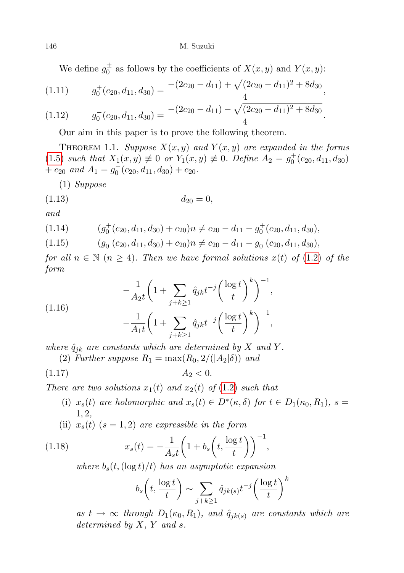We define  $g_0^{\pm}$  as follows by the coefficients of  $X(x, y)$  and  $Y(x, y)$ :

$$
(1.11) \t g_0^+(c_{20}, d_{11}, d_{30}) = \frac{-(2c_{20} - d_{11}) + \sqrt{(2c_{20} - d_{11})^2 + 8d_{30}}}{4},
$$

$$
(1.12) \t g_0^-(c_{20}, d_{11}, d_{30}) = \frac{-(2c_{20} - d_{11}) - \sqrt{(2c_{20} - d_{11})^2 + 8d_{30}}}{4}.
$$

Our aim in this paper is to prove the following theorem.

THEOREM 1.1. Suppose  $X(x, y)$  and  $Y(x, y)$  are expanded in the forms [\(1.5\)](#page-1-3) such that  $X_1(x, y) \neq 0$  or  $Y_1(x, y) \neq 0$ . Define  $A_2 = g_0^+(c_{20}, d_{11}, d_{30})$ +  $c_{20}$  and  $A_1 = g_0^-(c_{20}, d_{11}, d_{30}) + c_{20}$ .

(1) Suppose

$$
(1.13) \t\t d_{20} = 0,
$$

and

$$
(1.14) \qquad (g_0^+(c_{20}, d_{11}, d_{30}) + c_{20})n \neq c_{20} - d_{11} - g_0^+(c_{20}, d_{11}, d_{30}),
$$

$$
(1.15) \qquad (g_0^-(c_{20}, d_{11}, d_{30}) + c_{20})n \neq c_{20} - d_{11} - g_0^-(c_{20}, d_{11}, d_{30}),
$$

for all  $n \in \mathbb{N}$   $(n \geq 4)$ . Then we have formal solutions  $x(t)$  of  $(1.2)$  of the form

(1.16)  

$$
-\frac{1}{A_2t}\left(1+\sum_{j+k\geq 1}\hat{q}_{jk}t^{-j}\left(\frac{\log t}{t}\right)^k\right)^{-1},
$$

$$
-\frac{1}{A_1t}\left(1+\sum_{j+k\geq 1}\hat{q}_{jk}t^{-j}\left(\frac{\log t}{t}\right)^k\right)^{-1},
$$

where  $\hat{q}_{jk}$  are constants which are determined by X and Y.

(2) Further suppose  $R_1 = \max(R_0, 2/(|A_2|\delta))$  and

$$
(1.17) \t\t A2 < 0.
$$

There are two solutions  $x_1(t)$  and  $x_2(t)$  of (1.[2\)](#page-1-0) such that

- (i)  $x_s(t)$  are holomorphic and  $x_s(t) \in D^*(\kappa, \delta)$  for  $t \in D_1(\kappa_0, R_1)$ ,  $s =$ 1, 2,
- (ii)  $x_s(t)$  (s = 1, 2) are expressible in the form

(1.18) 
$$
x_s(t) = -\frac{1}{A_s t} \left( 1 + b_s \left( t, \frac{\log t}{t} \right) \right)^{-1},
$$

where  $b_s(t,(\log t)/t)$  has an asymptotic expansion

<span id="page-3-0"></span>
$$
b_s\left(t, \frac{\log t}{t}\right) \sim \sum_{j+k\geq 1} \hat{q}_{jk(s)} t^{-j} \left(\frac{\log t}{t}\right)^k
$$

as  $t \to \infty$  through  $D_1(\kappa_0, R_1)$ , and  $\hat{q}_{jk(s)}$  are constants which are determined by  $X, Y$  and  $s$ .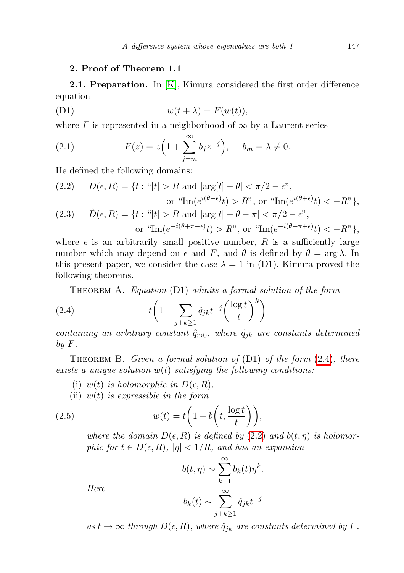## <span id="page-4-3"></span>2. Proof of Theorem 1.1

**2.1. Preparation.** In [\[K\]](#page-16-2), Kimura considered the first order difference equation

$$
(D1) \t\t\t w(t + \lambda) = F(w(t)),
$$

where F is represented in a neighborhood of  $\infty$  by a Laurent series

(2.1) 
$$
F(z) = z \left( 1 + \sum_{j=m}^{\infty} b_j z^{-j} \right), \quad b_m = \lambda \neq 0.
$$

He defined the following domains:

<span id="page-4-2"></span><span id="page-4-1"></span>(2.2) 
$$
D(\epsilon, R) = \{t : \text{``|t| > R and |arg[t] - \theta| < \pi/2 - \epsilon",} \text{ or ``Im}(e^{i(\theta - \epsilon)}t) > R", \text{ or ``Im}(e^{i(\theta + \epsilon)}t) < -R"\},
$$
\n(2.3) 
$$
\hat{D}(\epsilon, R) = \{t : \text{``|t| > R and |arg[t] - \theta - \pi| < \pi/2 - \epsilon",} \text{ or ``Im}(e^{-i(\theta + \pi - \epsilon)}t) > R", \text{ or ``Im}(e^{-i(\theta + \pi + \epsilon)}t) < -R"\},
$$

where  $\epsilon$  is an arbitrarily small positive number, R is a sufficiently large number which may depend on  $\epsilon$  and F, and  $\theta$  is defined by  $\theta = \arg \lambda$ . In this present paper, we consider the case  $\lambda = 1$  in (D1). Kimura proved the following theorems.

<span id="page-4-0"></span>Theorem A. Equation (D1) admits a formal solution of the form

(2.4) 
$$
t\left(1+\sum_{j+k\geq 1}\hat{q}_{jk}t^{-j}\left(\frac{\log t}{t}\right)^{k}\right)
$$

containing an arbitrary constant  $\hat{q}_{m0}$ , where  $\hat{q}_{jk}$  are constants determined  $b\,u\,F.$ 

THEOREM B. Given a formal solution of  $(D1)$  of the form  $(2.4)$  $(2.4)$ , there exists a unique solution  $w(t)$  satisfying the following conditions:

- (i) w(t) is holomorphic in  $D(\epsilon, R)$ ,
- (ii)  $w(t)$  is expressible in the form

Here

(2.5) 
$$
w(t) = t\left(1 + b\left(t, \frac{\log t}{t}\right)\right),
$$

where the domain  $D(\epsilon, R)$  is defined by [\(2](#page-4-1).2) and  $b(t, \eta)$  is holomorphic for  $t \in D(\epsilon, R)$ ,  $|\eta| < 1/R$ , and has an expansion

$$
b(t, \eta) \sim \sum_{k=1}^{\infty} b_k(t) \eta^k.
$$

$$
b_k(t) \sim \sum_{j+k \ge 1}^{\infty} \hat{q}_{jk} t^{-j}
$$

as  $t \to \infty$  through  $D(\epsilon, R)$ , where  $\hat{q}_{ik}$  are constants determined by F.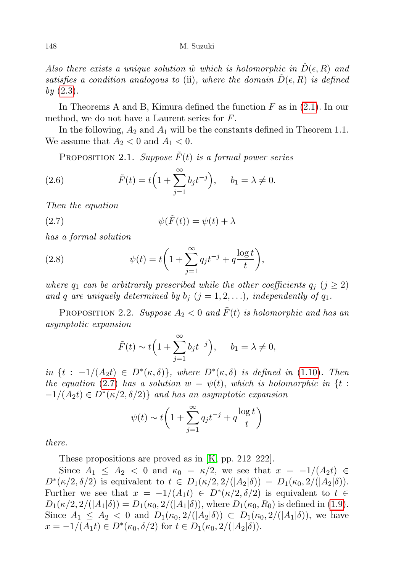Also there exists a unique solution  $\hat{w}$  which is holomorphic in  $D(\epsilon, R)$  and satisfies a condition analogous to (ii), where the domain  $D(\epsilon, R)$  is defined  $by (2.3).$  $by (2.3).$  $by (2.3).$ 

In Theorems A and B, Kimura defined the function  $F$  as in  $(2.1)$ . In our method, we do not have a Laurent series for F.

In the following,  $A_2$  and  $A_1$  will be the constants defined in Theorem 1.1. We assume that  $A_2 < 0$  and  $A_1 < 0$ .

<span id="page-5-1"></span>PROPOSITION 2.1. Suppose  $F(t)$  is a formal power series

(2.6) 
$$
\tilde{F}(t) = t \left( 1 + \sum_{j=1}^{\infty} b_j t^{-j} \right), \quad b_1 = \lambda \neq 0.
$$

Then the equation

<span id="page-5-0"></span>(2.7) 
$$
\psi(\tilde{F}(t)) = \psi(t) + \lambda
$$

has a formal solution

(2.8) 
$$
\psi(t) = t \left( 1 + \sum_{j=1}^{\infty} q_j t^{-j} + q \frac{\log t}{t} \right),
$$

where  $q_1$  can be arbitrarily prescribed while the other coefficients  $q_j$  ( $j \geq 2$ ) and q are uniquely determined by  $b_j$   $(j = 1, 2, ...)$ , independently of  $q_1$ .

PROPOSITION 2.2. Suppose  $A_2 < 0$  and  $\tilde{F}(t)$  is holomorphic and has an asymptotic expansion

$$
\tilde{F}(t) \sim t\Big(1 + \sum_{j=1}^{\infty} b_j t^{-j}\Big), \quad b_1 = \lambda \neq 0,
$$

in  $\{t : -1/(A_2 t) \in D^*(\kappa, \delta)\}\$ , where  $D^*(\kappa, \delta)$  is defined in [\(1.10\)](#page-2-2). Then the equation [\(2](#page-5-0).7) has a solution  $w = \psi(t)$ , which is holomorphic in {t :  $-1/(A_2t) \in D^*(\kappa/2, \delta/2)$ } and has an asymptotic expansion

$$
\psi(t) \sim t \left( 1 + \sum_{j=1}^{\infty} q_j t^{-j} + q \frac{\log t}{t} \right)
$$

there.

These propositions are proved as in [\[K,](#page-16-2) pp. 212–222].

Since  $A_1 \leq A_2 < 0$  and  $\kappa_0 = \kappa/2$ , we see that  $x = -1/(A_2 t) \in$  $D^*(\kappa/2, \delta/2)$  is equivalent to  $t \in D_1(\kappa/2, 2/(|A_2|\delta)) = D_1(\kappa_0, 2/(|A_2|\delta)).$ Further we see that  $x = -1/(A_1 t) \in D^*(\kappa/2, \delta/2)$  is equivalent to  $t \in$  $D_1(\kappa/2, 2/(|A_1|\delta)) = D_1(\kappa_0, 2/(|A_1|\delta))$ , where  $D_1(\kappa_0, R_0)$  is defined in [\(1.9\)](#page-2-3). Since  $A_1 \leq A_2 < 0$  and  $D_1(\kappa_0, 2/(|A_2|\delta)) \subset D_1(\kappa_0, 2/(|A_1|\delta))$ , we have  $x = -1/(A_1 t) \in D^*(\kappa_0, \delta/2)$  for  $t \in D_1(\kappa_0, 2/(|A_2|\delta)).$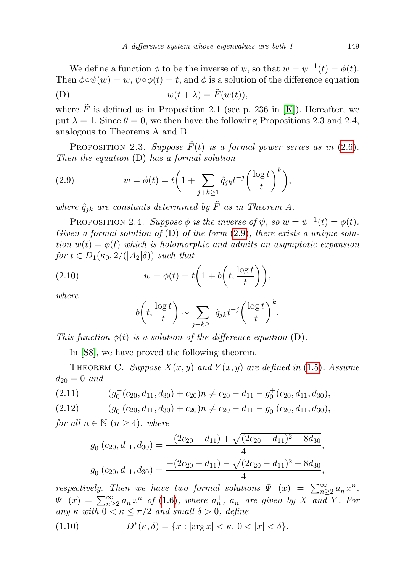We define a function  $\phi$  to be the inverse of  $\psi$ , so that  $w = \psi^{-1}(t) = \phi(t)$ . Then  $\phi \circ \psi(w) = w$ ,  $\psi \circ \phi(t) = t$ , and  $\phi$  is a solution of the difference equation (D)  $w(t + \lambda) = \tilde{F}(w(t)),$ 

<span id="page-6-0"></span>where  $\tilde{F}$  is defined as in Proposition 2.1 (see p. 236 in [\[K\]](#page-16-2)). Hereafter, we put  $\lambda = 1$ . Since  $\theta = 0$ , we then have the following Propositions 2.3 and 2.4, analogous to Theorems A and B.

PROPOSITION 2.3. Suppose  $\tilde{F}(t)$  is a formal power series as in [\(2](#page-5-1).6). Then the equation (D) has a formal solution

(2.9) 
$$
w = \phi(t) = t \left( 1 + \sum_{j+k \ge 1} \hat{q}_{jk} t^{-j} \left( \frac{\log t}{t} \right)^k \right),
$$

where  $\hat{q}_{jk}$  are constants determined by  $\tilde{F}$  as in Theorem A.

PROPOSITION 2.4. Suppose  $\phi$  is the inverse of  $\psi$ , so  $w = \psi^{-1}(t) = \phi(t)$ . Given a formal solution of  $(D)$  of the form  $(2.9)$  $(2.9)$ , there exists a unique solution  $w(t) = \phi(t)$  which is holomorphic and admits an asymptotic expansion for  $t \in D_1(\kappa_0, 2/(|A_2|\delta))$  such that

(2.10) 
$$
w = \phi(t) = t \left( 1 + b \left( t, \frac{\log t}{t} \right) \right),
$$

where

$$
b\left(t, \frac{\log t}{t}\right) \sim \sum_{j+k\geq 1} \hat{q}_{jk} t^{-j} \left(\frac{\log t}{t}\right)^k.
$$

This function  $\phi(t)$  is a solution of the difference equation (D).

In [\[S8\]](#page-16-5), we have proved the following theorem.

THEOREM C. Suppose  $X(x, y)$  and  $Y(x, y)$  are defined in (1.[5\)](#page-1-3). Assume  $d_{20} = 0$  and

$$
(2.11) \t\t (g_0^+(c_{20}, d_{11}, d_{30}) + c_{20})n \neq c_{20} - d_{11} - g_0^+(c_{20}, d_{11}, d_{30}),
$$

$$
(2.12) \qquad (g_0^-(c_{20}, d_{11}, d_{30}) + c_{20})n \neq c_{20} - d_{11} - g_0^-(c_{20}, d_{11}, d_{30}),
$$

for all  $n \in \mathbb{N}$   $(n \geq 4)$ , where

$$
g_0^+(c_{20}, d_{11}, d_{30}) = \frac{-(2c_{20} - d_{11}) + \sqrt{(2c_{20} - d_{11})^2 + 8d_{30}}}{4},
$$
  

$$
g_0^-(c_{20}, d_{11}, d_{30}) = \frac{-(2c_{20} - d_{11}) - \sqrt{(2c_{20} - d_{11})^2 + 8d_{30}}}{4},
$$

respectively. Then we have two formal solutions  $\Psi^+(x) = \sum_{n=2}^{\infty} a_n^+ x^n$ ,  $\Psi^{-}(x) = \sum_{n=2}^{\infty} a_n^{-} x^n$  of [\(1](#page-2-0).6), where  $a_n^{+}$ ,  $a_n^{-}$  are given by X and Y. For any  $\kappa$  with  $0 \leq \kappa \leq \pi/2$  and small  $\delta > 0$ , define

(1.10) 
$$
D^*(\kappa, \delta) = \{x : |\arg x| < \kappa, \, 0 < |x| < \delta\}.
$$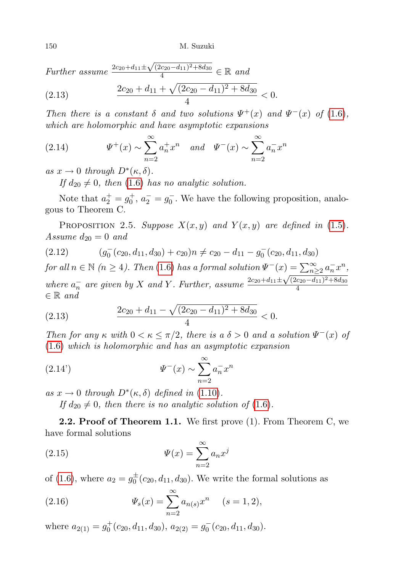150 M. Suzuki

Further assume  $\frac{2c_{20}+d_{11}\pm}{c_{20}}$  $\sqrt{(2c_{20}-d_{11})^2+8d_{30}}$  $\frac{(c_{20}-d_{11})^2+8d_{30}}{4} \in \mathbb{R}$  and

(2.13) 
$$
\frac{2c_{20} + d_{11} + \sqrt{(2c_{20} - d_{11})^2 + 8d_{30}}}{4} < 0.
$$

Then there is a constant  $\delta$  and two solutions  $\Psi^+(x)$  and  $\Psi^-(x)$  of (1.[6\)](#page-2-0), which are holomorphic and have asymptotic expansions

(2.14) 
$$
\Psi^{+}(x) \sim \sum_{n=2}^{\infty} a_{n}^{+} x^{n} \quad and \quad \Psi^{-}(x) \sim \sum_{n=2}^{\infty} a_{n}^{-} x^{n}
$$

as  $x \to 0$  through  $D^*(\kappa, \delta)$ .

If  $d_{20} \neq 0$ , then [\(1.6\)](#page-2-0) has no analytic solution.

Note that  $a_2^+ = g_0^+$ ,  $a_2^- = g_0^-$ . We have the following proposition, analogous to Theorem C.

PROPOSITION 2.5. Suppose  $X(x, y)$  and  $Y(x, y)$  are defined in (1.[5\)](#page-1-3). Assume  $d_{20} = 0$  and

$$
(2.12) \qquad (g_0^-(c_{20}, d_{11}, d_{30}) + c_{20})n \neq c_{20} - d_{11} - g_0^-(c_{20}, d_{11}, d_{30})
$$

for all  $n \in \mathbb{N}$   $(n \ge 4)$ . Then [\(1.6\)](#page-2-0) has a formal solution  $\Psi^{-}(x) = \sum_{n \ge 2}^{\infty} a_n^{-} x^n$ , where  $a_n^-$  are given by X and Y. Further, assume  $\frac{2c_{20}+d_{11}\pm d_{12}}{2c_{20}+d_{11}\pm d_{12}}$  $\sqrt{(2c_{20}-d_{11})^2+8d_{30}}$ 4  $\in \mathbb{R}$  and

(2.13) 
$$
\frac{2c_{20} + d_{11} - \sqrt{(2c_{20} - d_{11})^2 + 8d_{30}}}{4} < 0.
$$

Then for any  $\kappa$  with  $0 < \kappa \leq \pi/2$ , there is a  $\delta > 0$  and a solution  $\Psi^{-}(x)$  of [\(1.6\)](#page-2-0) which is holomorphic and has an asymptotic expansion

(2.14') 
$$
\Psi^{-}(x) \sim \sum_{n=2}^{\infty} a_n^{-} x^n
$$

as  $x \to 0$  through  $D^*(\kappa, \delta)$  defined in [\(1.10\)](#page-2-2).

If  $d_{20} \neq 0$ , then there is no analytic solution of [\(1](#page-2-0).6).

**2.2. Proof of Theorem 1.1.** We first prove  $(1)$ . From Theorem C, we have formal solutions

(2.15) 
$$
\Psi(x) = \sum_{n=2}^{\infty} a_n x^j
$$

of [\(1.6\)](#page-2-0), where  $a_2 = g_0^{\pm}(c_{20}, d_{11}, d_{30})$ . We write the formal solutions as

(2.16) 
$$
\Psi_s(x) = \sum_{n=2}^{\infty} a_{n(s)} x^n \quad (s = 1, 2),
$$

where  $a_{2(1)} = g_0^+(c_{20}, d_{11}, d_{30}), a_{2(2)} = g_0^-(c_{20}, d_{11}, d_{30}).$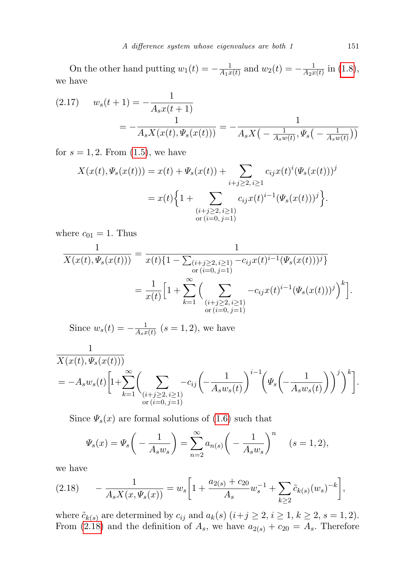On the other hand putting  $w_1(t) = -\frac{1}{4\pi^2}$  $\frac{1}{A_1x(t)}$  and  $w_2(t) = -\frac{1}{A_2x}$  $\frac{1}{A_2x(t)}$  in  $(1.8)$ , we have

<span id="page-8-1"></span>(2.17) 
$$
w_s(t+1) = -\frac{1}{A_s x(t+1)}
$$

$$
= -\frac{1}{A_s X(x(t), \Psi_s(x(t)))} = -\frac{1}{A_s X\left(-\frac{1}{A_s w(t)}, \Psi_s\left(-\frac{1}{A_s w(t)}\right)\right)}
$$

for  $s = 1, 2$ . From  $(1.5)$ , we have

$$
X(x(t), \Psi_s(x(t))) = x(t) + \Psi_s(x(t)) + \sum_{i+j \ge 2, i \ge 1} c_{ij} x(t)^i (\Psi_s(x(t)))^j
$$
  
=  $x(t) \Big\{ 1 + \sum_{\substack{(i+j \ge 2, i \ge 1) \\ \text{or } (i=0, j=1)}} c_{ij} x(t)^{i-1} (\Psi_s(x(t)))^j \Big\}.$ 

where  $c_{01} = 1$ . Thus

$$
\frac{1}{X(x(t), \Psi_s(x(t)))} = \frac{1}{x(t)\{1 - \sum_{\substack{(i+j\geq 2, i\geq 1) \\ \text{or } (i=0, j=1)}} -c_{ij}x(t)^{i-1}(\Psi_s(x(t)))^j\}} = \frac{1}{x(t)} \left[1 + \sum_{k=1}^{\infty} \left(\sum_{\substack{(i+j\geq 2, i\geq 1) \\ \text{or } (i=0, j=1)}} -c_{ij}x(t)^{i-1}(\Psi_s(x(t)))^j\right)^k\right].
$$

Since  $w_s(t) = -\frac{1}{A_s t}$  $\frac{1}{A_sx(t)}$   $(s=1,2)$ , we have

$$
\frac{1}{X(x(t), \Psi_s(x(t)))}\n= -A_s w_s(t) \left[ 1 + \sum_{k=1}^{\infty} \left( \sum_{\substack{(i+j \geq 2, i \geq 1) \\ \text{or } (i=0, j=1)}} -c_{ij} \left( -\frac{1}{A_s w_s(t)} \right)^{i-1} \left( \Psi_s \left( -\frac{1}{A_s w_s(t)} \right) \right)^j \right)^k \right].
$$

Since  $\Psi_s(x)$  are formal solutions of [\(1.6\)](#page-2-0) such that

$$
\Psi_s(x) = \Psi_s \left( - \frac{1}{A_s w_s} \right) = \sum_{n=2}^{\infty} a_{n(s)} \left( - \frac{1}{A_s w_s} \right)^n \quad (s = 1, 2),
$$

we have

<span id="page-8-0"></span>
$$
(2.18) \qquad -\frac{1}{A_s X(x, \Psi_s(x))} = w_s \bigg[ 1 + \frac{a_{2(s)} + c_{20}}{A_s} w_s^{-1} + \sum_{k \ge 2} \tilde{c}_{k(s)}(w_s)^{-k} \bigg],
$$

where  $\tilde{c}_{k(s)}$  are determined by  $c_{ij}$  and  $a_k(s)$   $(i+j \geq 2, i \geq 1, k \geq 2, s = 1, 2)$ . From (2.[18\)](#page-8-0) and the definition of  $A_s$ , we have  $a_{2(s)} + c_{20} = A_s$ . Therefore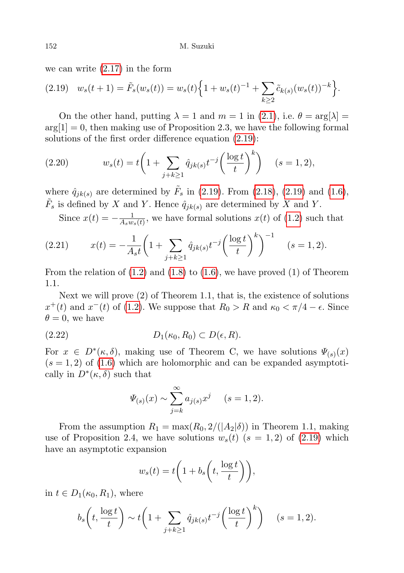we can write (2.[17\)](#page-8-1) in the form

<span id="page-9-0"></span>
$$
(2.19) \t ws(t+1) = \tilde{F}s(ws(t)) = ws(t) \Big\{ 1 + ws(t)-1 + \sum_{k \ge 2} \tilde{c}_{k(s)}(ws(t))-k \Big\}.
$$

On the other hand, putting  $\lambda = 1$  and  $m = 1$  in [\(2](#page-4-3).1), i.e.  $\theta = \arg[\lambda] =$  $\arg[1] = 0$ , then making use of Proposition 2.3, we have the following formal solutions of the first order difference equation (2.[19\)](#page-9-0):

(2.20) 
$$
w_s(t) = t \left( 1 + \sum_{j+k \ge 1} \hat{q}_{jk(s)} t^{-j} \left( \frac{\log t}{t} \right)^k \right) \quad (s = 1, 2),
$$

where  $\hat{q}_{jk(s)}$  are determined by  $\tilde{F}_s$  in (2.[19\)](#page-9-0). From (2.[18\)](#page-8-0), (2.19) and [\(1](#page-2-0).6),  $\tilde{F}_s$  is defined by X and Y. Hence  $\hat{q}_{jk(s)}$  are determined by X and Y.

Since  $x(t) = -\frac{1}{4 \cdot w}$  $\frac{1}{A_s w_s(t)}$ , we have formal solutions  $x(t)$  of  $(1.2)$  $(1.2)$  such that

(2.21) 
$$
x(t) = -\frac{1}{A_s t} \left( 1 + \sum_{j+k \ge 1} \hat{q}_{jk(s)} t^{-j} \left( \frac{\log t}{t} \right)^k \right)^{-1} \quad (s = 1, 2).
$$

From the relation of  $(1.2)$  $(1.2)$  and  $(1.8)$  $(1.8)$  to  $(1.6)$ , we have proved  $(1)$  of Theorem 1.1.

Next we will prove (2) of Theorem 1.1, that is, the existence of solutions  $x^+(t)$  and  $x^-(t)$  of [\(1.2\)](#page-1-0). We suppose that  $R_0 > R$  and  $\kappa_0 < \pi/4 - \epsilon$ . Since  $\theta = 0$ , we have

$$
(2.22) \t\t D_1(\kappa_0, R_0) \subset D(\epsilon, R).
$$

For  $x \in D^*(\kappa, \delta)$ , making use of Theorem C, we have solutions  $\Psi_{(s)}(x)$  $(s = 1, 2)$  of  $(1.6)$  which are holomorphic and can be expanded asymptotically in  $D^*(\kappa, \delta)$  such that

$$
\Psi_{(s)}(x) \sim \sum_{j=k}^{\infty} a_{j(s)} x^j
$$
 (s = 1, 2).

From the assumption  $R_1 = \max(R_0, 2/(|A_2|\delta))$  in Theorem 1.1, making use of Proposition 2.4, we have solutions  $w_s(t)$   $(s = 1, 2)$  of  $(2.19)$  $(2.19)$  which have an asymptotic expansion

$$
w_s(t) = t \bigg( 1 + b_s \bigg( t, \frac{\log t}{t} \bigg) \bigg),
$$

in  $t \in D_1(\kappa_0, R_1)$ , where

$$
b_s\left(t, \frac{\log t}{t}\right) \sim t\left(1 + \sum_{j+k\geq 1} \hat{q}_{jk(s)} t^{-j} \left(\frac{\log t}{t}\right)^k\right) \quad (s = 1, 2).
$$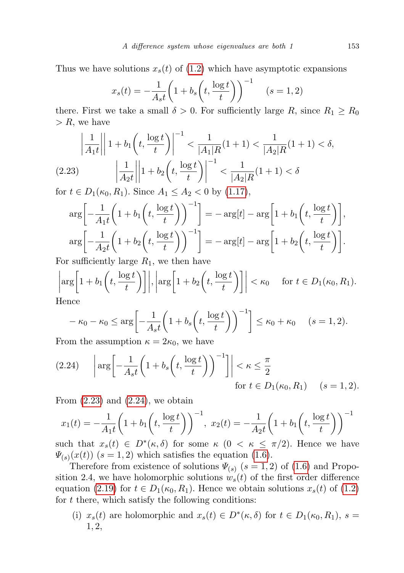Thus we have solutions  $x_s(t)$  of [\(1.2\)](#page-1-0) which have asymptotic expansions

$$
x_s(t) = -\frac{1}{A_s t} \left( 1 + b_s \left( t, \frac{\log t}{t} \right) \right)^{-1} \quad (s = 1, 2)
$$

there. First we take a small  $\delta > 0$ . For sufficiently large R, since  $R_1 \geq R_0$  $> R$ , we have

$$
\left| \frac{1}{A_1 t} \right| \left| 1 + b_1 \left( t, \frac{\log t}{t} \right) \right|^{-1} < \frac{1}{|A_1| R} (1 + 1) < \frac{1}{|A_2| R} (1 + 1) < \delta,
$$
\n
$$
(2.23) \qquad \left| \frac{1}{A_2 t} \right| \left| 1 + b_2 \left( t, \frac{\log t}{t} \right) \right|^{-1} < \frac{1}{|A_2| R} (1 + 1) < \delta
$$

<span id="page-10-0"></span>for  $t \in D_1(\kappa_0, R_1)$ . Since  $A_1 \leq A_2 < 0$  by [\(1.17\)](#page-3-0),

$$
\arg\left[-\frac{1}{A_1t}\left(1+b_1\left(t,\frac{\log t}{t}\right)\right)^{-1}\right] = -\arg[t] - \arg\left[1+b_1\left(t,\frac{\log t}{t}\right)\right],
$$

$$
\arg\left[-\frac{1}{A_2t}\left(1+b_2\left(t,\frac{\log t}{t}\right)\right)^{-1}\right] = -\arg[t] - \arg\left[1+b_2\left(t,\frac{\log t}{t}\right)\right].
$$

For sufficiently large  $R_1$ , we then have

$$
\left| \arg \left[ 1 + b_1 \left( t, \frac{\log t}{t} \right) \right] \right|, \left| \arg \left[ 1 + b_2 \left( t, \frac{\log t}{t} \right) \right] \right| < \kappa_0 \quad \text{ for } t \in D_1(\kappa_0, R_1).
$$
\nHence

Hence

<span id="page-10-1"></span>
$$
-\kappa_0 - \kappa_0 \le \arg\left[-\frac{1}{A_st}\left(1 + b_s\left(t, \frac{\log t}{t}\right)\right)^{-1}\right] \le \kappa_0 + \kappa_0 \quad (s = 1, 2).
$$

From the assumption  $\kappa = 2\kappa_0$ , we have

$$
(2.24) \quad \left| \arg \left[ -\frac{1}{A_s t} \left( 1 + b_s \left( t, \frac{\log t}{t} \right) \right)^{-1} \right] \right| < \kappa \le \frac{\pi}{2} \quad \text{for } t \in D_1(\kappa_0, R_1) \quad (s = 1, 2).
$$

From  $(2.23)$  $(2.23)$  and  $(2.24)$  $(2.24)$ , we obtain

$$
x_1(t) = -\frac{1}{A_1 t} \left( 1 + b_1 \left( t, \frac{\log t}{t} \right) \right)^{-1}, \ x_2(t) = -\frac{1}{A_2 t} \left( 1 + b_1 \left( t, \frac{\log t}{t} \right) \right)^{-1}
$$

such that  $x_s(t) \in D^*(\kappa, \delta)$  for some  $\kappa$   $(0 \leq \kappa \leq \pi/2)$ . Hence we have  $\Psi_{(s)}(x(t))$   $(s=1,2)$  which satisfies the equation [\(1](#page-2-0).6).

Therefore from existence of solutions  $\Psi_{(s)}$   $(s = 1, 2)$  of  $(1.6)$  $(1.6)$  and Proposition 2.4, we have holomorphic solutions  $w_s(t)$  of the first order difference equation (2.[19\)](#page-9-0) for  $t \in D_1(\kappa_0, R_1)$ . Hence we obtain solutions  $x_s(t)$  of [\(1](#page-1-0).2) for  $t$  there, which satisfy the following conditions:

(i)  $x_s(t)$  are holomorphic and  $x_s(t) \in D^*(\kappa, \delta)$  for  $t \in D_1(\kappa_0, R_1)$ ,  $s =$ 1, 2,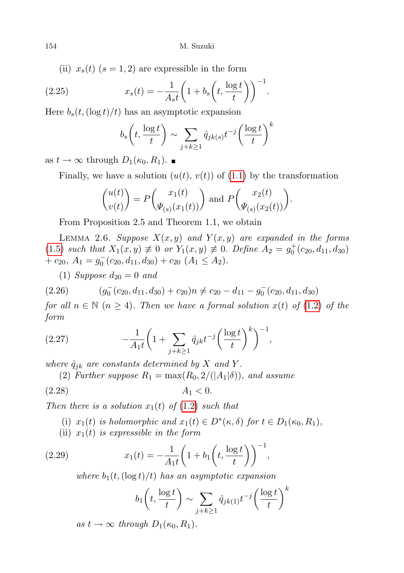(ii)  $x_s(t)$  ( $s = 1, 2$ ) are expressible in the form

(2.25) 
$$
x_s(t) = -\frac{1}{A_s t} \left( 1 + b_s \left( t, \frac{\log t}{t} \right) \right)^{-1}.
$$

Here  $b_s(t,(\log t)/t)$  has an asymptotic expansion

$$
b_s\left(t, \frac{\log t}{t}\right) \sim \sum_{j+k\geq 1} \hat{q}_{jk(s)} t^{-j} \left(\frac{\log t}{t}\right)^k
$$

as  $t \to \infty$  through  $D_1(\kappa_0, R_1)$ .

Finally, we have a solution  $(u(t), v(t))$  of  $(1.1)$  $(1.1)$  by the transformation

$$
\begin{pmatrix} u(t) \\ v(t) \end{pmatrix} = P \begin{pmatrix} x_1(t) \\ \Psi_{(s)}(x_1(t)) \end{pmatrix}
$$
 and 
$$
P \begin{pmatrix} x_2(t) \\ \Psi_{(s)}(x_2(t)) \end{pmatrix}.
$$

From Proposition 2.5 and Theorem 1.1, we obtain

LEMMA 2.6. Suppose  $X(x, y)$  and  $Y(x, y)$  are expanded in the forms [\(1](#page-1-3).5) such that  $X_1(x, y) \neq 0$  or  $Y_1(x, y) \neq 0$ . Define  $A_2 = g_0^+(c_{20}, d_{11}, d_{30})$ +  $c_{20}$ ,  $A_1 = g_0^-(c_{20}, d_{11}, d_{30}) + c_{20} (A_1 \le A_2).$ 

(1) Suppose  $d_{20} = 0$  and

$$
(2.26) \qquad (g_0^-(c_{20}, d_{11}, d_{30}) + c_{20})n \neq c_{20} - d_{11} - g_0^-(c_{20}, d_{11}, d_{30})
$$

for all  $n \in \mathbb{N}$   $(n \geq 4)$ . Then we have a formal solution  $x(t)$  of  $(1.2)$  $(1.2)$  of the form

(2.27) 
$$
-\frac{1}{A_1t}\left(1+\sum_{j+k\geq 1}\hat{q}_{jk}t^{-j}\left(\frac{\log t}{t}\right)^k\right)^{-1},
$$

where  $\hat{q}_{jk}$  are constants determined by X and Y.

(2) Further suppose  $R_1 = \max(R_0, 2/(|A_1|\delta))$ , and assume

$$
(2.28) \t\t A1 < 0.
$$

Then there is a solution  $x_1(t)$  of  $(1.2)$  $(1.2)$  such that

- (i)  $x_1(t)$  is holomorphic and  $x_1(t) \in D^*(\kappa, \delta)$  for  $t \in D_1(\kappa_0, R_1)$ ,
- (ii)  $x_1(t)$  is expressible in the form

(2.29) 
$$
x_1(t) = -\frac{1}{A_1 t} \left( 1 + b_1 \left( t, \frac{\log t}{t} \right) \right)^{-1},
$$

where  $b_1(t,(\log t)/t)$  has an asymptotic expansion

<span id="page-11-0"></span>
$$
b_1\left(t, \frac{\log t}{t}\right) \sim \sum_{j+k\geq 1} \hat{q}_{jk(1)} t^{-j} \left(\frac{\log t}{t}\right)^k
$$

as  $t \to \infty$  through  $D_1(\kappa_0, R_1)$ .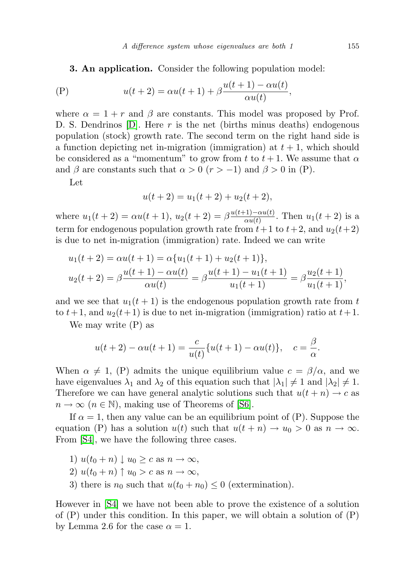<span id="page-12-0"></span>3. An application. Consider the following population model:

$$
\text{(P)} \qquad \qquad u(t+2) = \alpha u(t+1) + \beta \frac{u(t+1) - \alpha u(t)}{\alpha u(t)},
$$

where  $\alpha = 1 + r$  and  $\beta$  are constants. This model was proposed by Prof. D. S. Dendrinos  $[D]$ . Here r is the net (births minus deaths) endogenous population (stock) growth rate. The second term on the right hand side is a function depicting net in-migration (immigration) at  $t + 1$ , which should be considered as a "momentum" to grow from t to  $t + 1$ . We assume that  $\alpha$ and  $\beta$  are constants such that  $\alpha > 0$  ( $r > -1$ ) and  $\beta > 0$  in (P).

Let

$$
u(t+2) = u_1(t+2) + u_2(t+2),
$$

where  $u_1(t+2) = \alpha u(t+1), u_2(t+2) = \beta \frac{u(t+1) - \alpha u(t)}{\alpha u(t)}$  $\frac{c_{1}-\alpha u(t)}{\alpha u(t)}$ . Then  $u_{1}(t+2)$  is a term for endogenous population growth rate from  $t+1$  to  $t+2$ , and  $u_2(t+2)$ is due to net in-migration (immigration) rate. Indeed we can write

$$
u_1(t+2) = \alpha u(t+1) = \alpha \{u_1(t+1) + u_2(t+1)\},
$$
  
\n
$$
u_2(t+2) = \beta \frac{u(t+1) - \alpha u(t)}{\alpha u(t)} = \beta \frac{u(t+1) - u_1(t+1)}{u_1(t+1)} = \beta \frac{u_2(t+1)}{u_1(t+1)},
$$

and we see that  $u_1(t + 1)$  is the endogenous population growth rate from t to  $t+1$ , and  $u_2(t+1)$  is due to net in-migration (immigration) ratio at  $t+1$ .

We may write (P) as

$$
u(t+2) - \alpha u(t+1) = \frac{c}{u(t)} \{u(t+1) - \alpha u(t)\}, \quad c = \frac{\beta}{\alpha}.
$$

When  $\alpha \neq 1$ , (P) admits the unique equilibrium value  $c = \beta/\alpha$ , and we have eigenvalues  $\lambda_1$  and  $\lambda_2$  of this equation such that  $|\lambda_1| \neq 1$  and  $|\lambda_2| \neq 1$ . Therefore we can have general analytic solutions such that  $u(t + n) \rightarrow c$  as  $n \to \infty$  ( $n \in \mathbb{N}$ ), making use of Theorems of [\[S6\]](#page-16-1).

If  $\alpha = 1$ , then any value can be an equilibrium point of (P). Suppose the equation (P) has a solution  $u(t)$  such that  $u(t + n) \to u_0 > 0$  as  $n \to \infty$ . From [\[S4\]](#page-16-7), we have the following three cases.

- 1)  $u(t_0 + n) \downarrow u_0 \geq c$  as  $n \to \infty$ ,
- 2)  $u(t_0 + n) \uparrow u_0 > c$  as  $n \to \infty$ ,
- 3) there is  $n_0$  such that  $u(t_0 + n_0) \leq 0$  (extermination).

However in [\[S4\]](#page-16-7) we have not been able to prove the existence of a solution of  $(P)$  under this condition. In this paper, we will obtain a solution of  $(P)$ by Lemma 2.6 for the case  $\alpha = 1$ .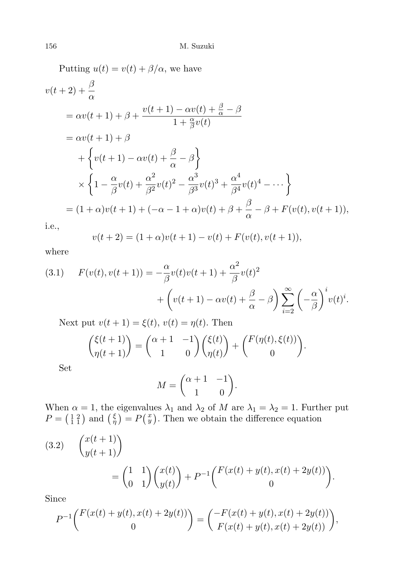Putting  $u(t) = v(t) + \beta/\alpha$ , we have  $v(t+2)+\frac{\beta}{\alpha}$  $= \alpha v(t+1) + \beta +$  $v(t+1) - \alpha v(t) + \frac{\beta}{\alpha} - \beta$  $1+\frac{\alpha}{\beta}v(t)$  $= \alpha v(t+1) + \beta$  $+\left\{v(t+1)-\alpha v(t)+\frac{\beta}{\alpha}-\beta\right\}$  $\times \left\{1-\frac{\alpha}{2}\right\}$  $\frac{\alpha}{\beta}v(t) + \frac{\alpha^2}{\beta^2}$  $\frac{\alpha^2}{\beta^2}v(t)^2-\frac{\alpha^3}{\beta^3}$  $\frac{\alpha^3}{\beta^3}v(t)^3+\frac{\alpha^4}{\beta^4}$  $\frac{\alpha^4}{\beta^4}v(t)^4-\cdots\Bigg\}$  $=(1+\alpha)v(t+1)+(-\alpha-1+\alpha)v(t)+\beta+\frac{\beta}{2}$  $\frac{\beta}{\alpha} - \beta + F(v(t), v(t+1)),$ 

i.e.,

$$
v(t+2) = (1+\alpha)v(t+1) - v(t) + F(v(t), v(t+1)),
$$

where

(3.1) 
$$
F(v(t), v(t+1)) = -\frac{\alpha}{\beta}v(t)v(t+1) + \frac{\alpha^2}{\beta}v(t)^2 + \left(v(t+1) - \alpha v(t) + \frac{\beta}{\alpha} - \beta\right)\sum_{i=2}^{\infty} \left(-\frac{\alpha}{\beta}\right)^i v(t)^i.
$$

Next put  $v(t + 1) = \xi(t)$ ,  $v(t) = \eta(t)$ . Then

<span id="page-13-0"></span>
$$
\binom{\xi(t+1)}{\eta(t+1)} = \binom{\alpha+1 & -1}{1 & 0} \binom{\xi(t)}{\eta(t)} + \binom{F(\eta(t), \xi(t))}{0}.
$$

Set

$$
M = \begin{pmatrix} \alpha + 1 & -1 \\ 1 & 0 \end{pmatrix}.
$$

When  $\alpha = 1$ , the eigenvalues  $\lambda_1$  and  $\lambda_2$  of M are  $\lambda_1 = \lambda_2 = 1$ . Further put  $P = \begin{pmatrix} 1 & 2 \\ 1 & 1 \end{pmatrix}$  and  $\begin{pmatrix} \xi \\ \eta \end{pmatrix} = P\begin{pmatrix} x \\ y \end{pmatrix}$ . Then we obtain the difference equation

(3.2) 
$$
\begin{pmatrix} x(t+1) \\ y(t+1) \end{pmatrix} = \begin{pmatrix} 1 & 1 \\ 0 & 1 \end{pmatrix} \begin{pmatrix} x(t) \\ y(t) \end{pmatrix} + P^{-1} \begin{pmatrix} F(x(t) + y(t), x(t) + 2y(t)) \\ 0 \end{pmatrix}.
$$

Since

$$
P^{-1}\begin{pmatrix} F(x(t) + y(t), x(t) + 2y(t)) \ 0 \end{pmatrix} = \begin{pmatrix} -F(x(t) + y(t), x(t) + 2y(t)) \ F(x(t) + y(t), x(t) + 2y(t)) \end{pmatrix},
$$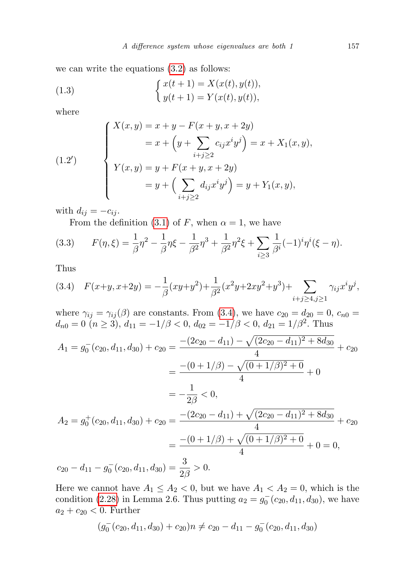we can write the equations [\(3.2\)](#page-13-0) as follows:

<span id="page-14-1"></span>(1.3) 
$$
\begin{cases} x(t+1) = X(x(t), y(t)), \\ y(t+1) = Y(x(t), y(t)), \end{cases}
$$

where

(1.2')  

$$
Y(x, y) = x + y - F(x + y, x + 2y)
$$

$$
= x + \left(y + \sum_{i+j\geq 2} c_{ij}x^{i}y^{j}\right) = x + X_{1}(x, y),
$$

$$
Y(x, y) = y + F(x + y, x + 2y)
$$

$$
= y + \left(\sum_{i+j\geq 2} d_{ij}x^{i}y^{j}\right) = y + Y_{1}(x, y),
$$

with  $d_{ij} = -c_{ij}$ .

From the definition [\(3.1\)](#page-12-0) of F, when  $\alpha = 1$ , we have

(3.3) 
$$
F(\eta,\xi) = \frac{1}{\beta}\eta^2 - \frac{1}{\beta}\eta\xi - \frac{1}{\beta^2}\eta^3 + \frac{1}{\beta^2}\eta^2\xi + \sum_{i\geq 3}\frac{1}{\beta^i}(-1)^i\eta^i(\xi-\eta).
$$

Thus

<span id="page-14-0"></span>
$$
(3.4) \quad F(x+y, x+2y) = -\frac{1}{\beta}(xy+y^2) + \frac{1}{\beta^2}(x^2y+2xy^2+y^3) + \sum_{i+j \ge 4, j \ge 1} \gamma_{ij}x^i y^j,
$$

where  $\gamma_{ij} = \gamma_{ij}(\beta)$  are constants. From [\(3.4\)](#page-14-0), we have  $c_{20} = d_{20} = 0$ ,  $c_{n0} =$  $d_{n0} = 0 \ (n \geq 3), d_{11} = -1/\beta < 0, d_{02} = -1/\beta < 0, d_{21} = 1/\beta^2$ . Thus

$$
A_1 = g_0^-(c_{20}, d_{11}, d_{30}) + c_{20} = \frac{-(2c_{20} - d_{11}) - \sqrt{(2c_{20} - d_{11})^2 + 8d_{30}}}{4} + c_{20}
$$
  

$$
= \frac{-(0 + 1/\beta) - \sqrt{(0 + 1/\beta)^2 + 0}}{4} + 0
$$
  

$$
= -\frac{1}{2\beta} < 0,
$$
  

$$
A_2 = g_0^+(c_{20}, d_{11}, d_{30}) + c_{20} = \frac{-(2c_{20} - d_{11}) + \sqrt{(2c_{20} - d_{11})^2 + 8d_{30}}}{4} + c_{20}
$$
  

$$
= \frac{-(0 + 1/\beta) + \sqrt{(0 + 1/\beta)^2 + 0}}{4} + 0 = 0,
$$
  

$$
c_{20} - d_{11} - g_0^-(c_{20}, d_{11}, d_{30}) = \frac{3}{2\beta} > 0.
$$

Here we cannot have  $A_1 \leq A_2 < 0$ , but we have  $A_1 < A_2 = 0$ , which is the condition [\(2.28\)](#page-11-0) in Lemma 2.6. Thus putting  $a_2 = g_0^-(c_{20}, d_{11}, d_{30})$ , we have  $a_2 + c_{20} < 0$ . Further

$$
(g_0^-(c_{20}, d_{11}, d_{30}) + c_{20})n \neq c_{20} - d_{11} - g_0^-(c_{20}, d_{11}, d_{30})
$$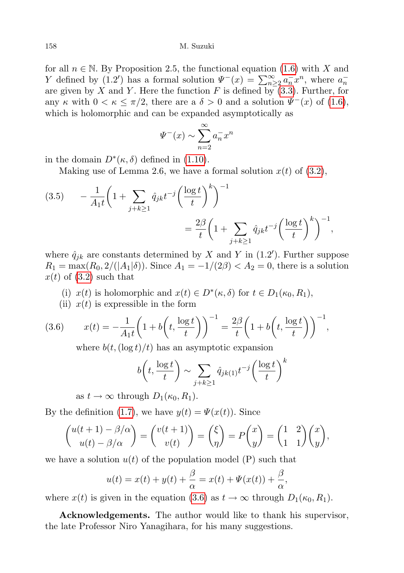for all  $n \in \mathbb{N}$ . By Proposition 2.5, the functional equation [\(1.6\)](#page-2-0) with X and Y defined by (1.2') has a formal solution  $\Psi^{-}(x) = \sum_{n=2}^{\infty} a_n^{-} x^n$ , where  $a_n^{-}$ are given by X and Y. Here the function F is defined by  $(3.3)$ . Further, for any  $\kappa$  with  $0 < \kappa \leq \pi/2$ , there are a  $\delta > 0$  and a solution  $\Psi^{-}(x)$  of [\(1.6\)](#page-2-0), which is holomorphic and can be expanded asymptotically as

$$
\Psi^{-}(x) \sim \sum_{n=2}^{\infty} a_n^{-} x^n
$$

in the domain  $D^*(\kappa, \delta)$  defined in [\(1.10\)](#page-2-2).

Making use of Lemma 2.6, we have a formal solution  $x(t)$  of  $(3.2)$ ,

(3.5) 
$$
- \frac{1}{A_1 t} \left( 1 + \sum_{j+k \ge 1} \hat{q}_{jk} t^{-j} \left( \frac{\log t}{t} \right)^k \right)^{-1} = \frac{2\beta}{t} \left( 1 + \sum_{j+k \ge 1} \hat{q}_{jk} t^{-j} \left( \frac{\log t}{t} \right)^k \right)^{-1},
$$

where  $\hat{q}_{jk}$  are constants determined by X and Y in (1.2'). Further suppose  $R_1 = \max(R_0, 2/(|A_1|\delta))$ . Since  $A_1 = -1/(2\beta) < A_2 = 0$ , there is a solution  $x(t)$  of  $(3.2)$  such that

- (i)  $x(t)$  is holomorphic and  $x(t) \in D^*(\kappa, \delta)$  for  $t \in D_1(\kappa_0, R_1)$ ,
- (ii)  $x(t)$  is expressible in the form

(3.6) 
$$
x(t) = -\frac{1}{A_1 t} \left( 1 + b \left( t, \frac{\log t}{t} \right) \right)^{-1} = \frac{2\beta}{t} \left( 1 + b \left( t, \frac{\log t}{t} \right) \right)^{-1},
$$

<span id="page-15-0"></span>where  $b(t, (\log t)/t)$  has an asymptotic expansion

$$
b\left(t, \frac{\log t}{t}\right) \sim \sum_{j+k\geq 1} \hat{q}_{jk(1)} t^{-j} \left(\frac{\log t}{t}\right)^k
$$

as  $t \to \infty$  through  $D_1(\kappa_0, R_1)$ .

By the definition [\(1.7\)](#page-2-4), we have  $y(t) = \Psi(x(t))$ . Since

$$
\binom{u(t+1)-\beta/\alpha}{u(t)-\beta/\alpha} = \binom{v(t+1)}{v(t)} = \binom{\xi}{\eta} = P\binom{x}{y} = \binom{1-2}{1-1}\binom{x}{y},
$$

we have a solution  $u(t)$  of the population model (P) such that

$$
u(t) = x(t) + y(t) + \frac{\beta}{\alpha} = x(t) + \Psi(x(t)) + \frac{\beta}{\alpha},
$$

where  $x(t)$  is given in the equation [\(3.6\)](#page-15-0) as  $t \to \infty$  through  $D_1(\kappa_0, R_1)$ .

Acknowledgements. The author would like to thank his supervisor, the late Professor Niro Yanagihara, for his many suggestions.